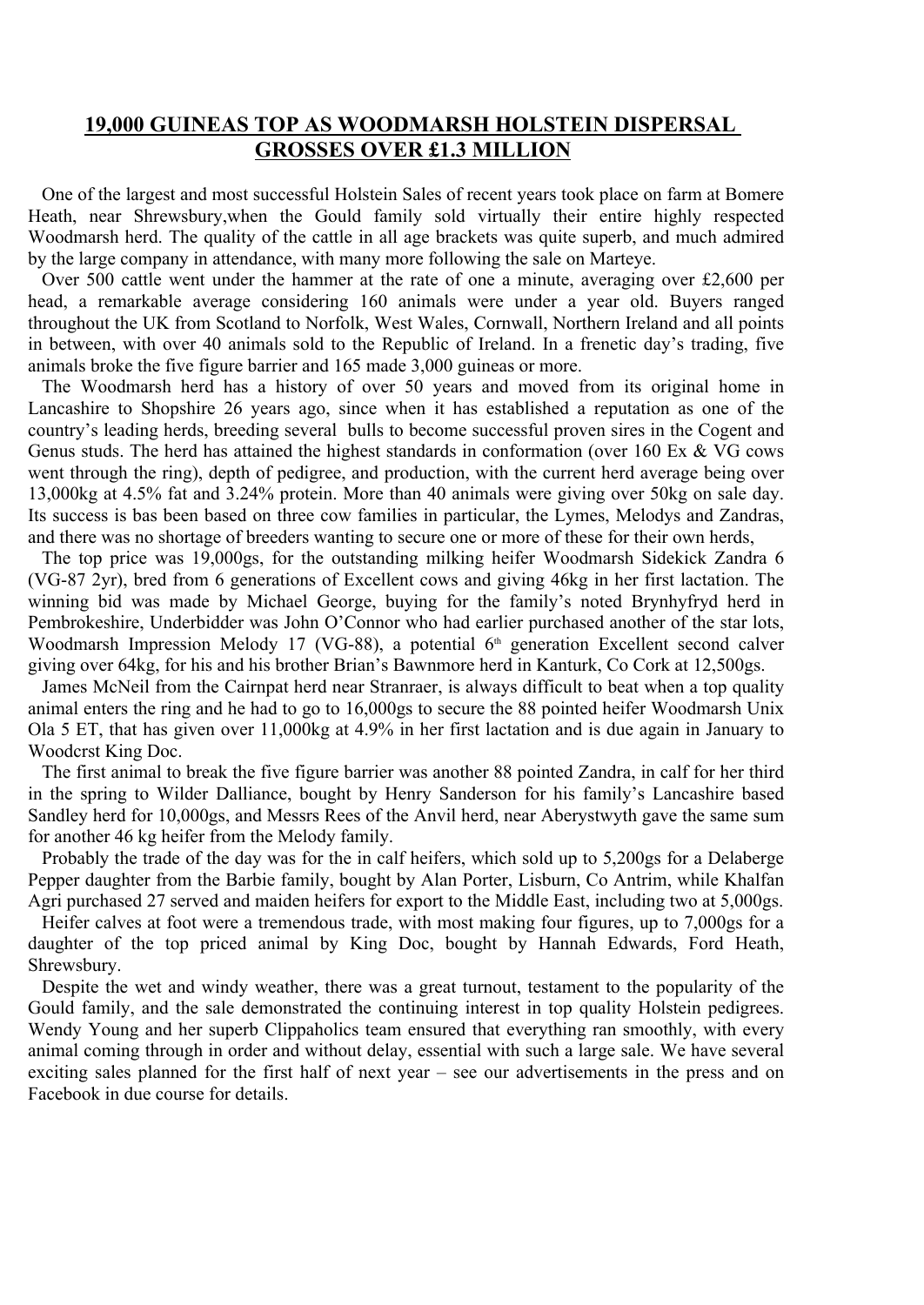## **19,000 GUINEAS TOP AS WOODMARSH HOLSTEIN DISPERSAL GROSSES OVER £1.3 MILLION**

One of the largest and most successful Holstein Sales of recent years took place on farm at Bomere Heath, near Shrewsbury,when the Gould family sold virtually their entire highly respected Woodmarsh herd. The quality of the cattle in all age brackets was quite superb, and much admired by the large company in attendance, with many more following the sale on Marteye.

Over 500 cattle went under the hammer at the rate of one a minute, averaging over £2,600 per head, a remarkable average considering 160 animals were under a year old. Buyers ranged throughout the UK from Scotland to Norfolk, West Wales, Cornwall, Northern Ireland and all points in between, with over 40 animals sold to the Republic of Ireland. In a frenetic day's trading, five animals broke the five figure barrier and 165 made 3,000 guineas or more.

The Woodmarsh herd has a history of over 50 years and moved from its original home in Lancashire to Shopshire 26 years ago, since when it has established a reputation as one of the country's leading herds, breeding several bulls to become successful proven sires in the Cogent and Genus studs. The herd has attained the highest standards in conformation (over 160 Ex & VG cows went through the ring), depth of pedigree, and production, with the current herd average being over 13,000kg at 4.5% fat and 3.24% protein. More than 40 animals were giving over 50kg on sale day. Its success is bas been based on three cow families in particular, the Lymes, Melodys and Zandras, and there was no shortage of breeders wanting to secure one or more of these for their own herds,

The top price was 19,000gs, for the outstanding milking heifer Woodmarsh Sidekick Zandra 6 (VG-87 2yr), bred from 6 generations of Excellent cows and giving 46kg in her first lactation. The winning bid was made by Michael George, buying for the family's noted Brynhyfryd herd in Pembrokeshire, Underbidder was John O'Connor who had earlier purchased another of the star lots, Woodmarsh Impression Melody 17 (VG-88), a potential 6<sup>th</sup> generation Excellent second calver giving over 64kg, for his and his brother Brian's Bawnmore herd in Kanturk, Co Cork at 12,500gs.

James McNeil from the Cairnpat herd near Stranraer, is always difficult to beat when a top quality animal enters the ring and he had to go to 16,000gs to secure the 88 pointed heifer Woodmarsh Unix Ola 5 ET, that has given over 11,000kg at 4.9% in her first lactation and is due again in January to Woodcrst King Doc.

The first animal to break the five figure barrier was another 88 pointed Zandra, in calf for her third in the spring to Wilder Dalliance, bought by Henry Sanderson for his family's Lancashire based Sandley herd for 10,000gs, and Messrs Rees of the Anvil herd, near Aberystwyth gave the same sum for another 46 kg heifer from the Melody family.

Probably the trade of the day was for the in calf heifers, which sold up to 5,200gs for a Delaberge Pepper daughter from the Barbie family, bought by Alan Porter, Lisburn, Co Antrim, while Khalfan Agri purchased 27 served and maiden heifers for export to the Middle East, including two at 5,000gs.

Heifer calves at foot were a tremendous trade, with most making four figures, up to 7,000gs for a daughter of the top priced animal by King Doc, bought by Hannah Edwards, Ford Heath, Shrewsbury.

Despite the wet and windy weather, there was a great turnout, testament to the popularity of the Gould family, and the sale demonstrated the continuing interest in top quality Holstein pedigrees. Wendy Young and her superb Clippaholics team ensured that everything ran smoothly, with every animal coming through in order and without delay, essential with such a large sale. We have several exciting sales planned for the first half of next year – see our advertisements in the press and on Facebook in due course for details.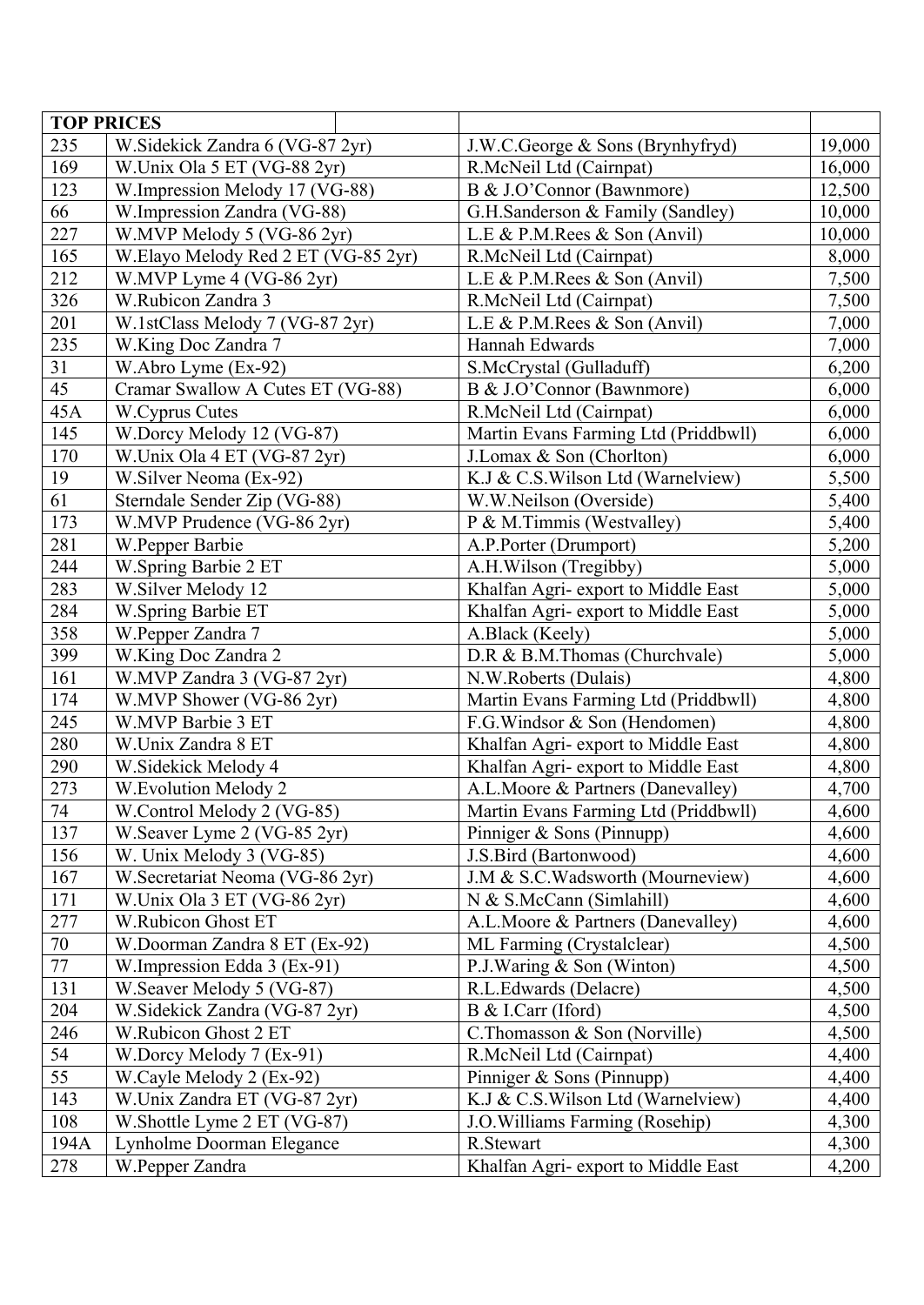|      | <b>TOP PRICES</b>                   |                                              |        |
|------|-------------------------------------|----------------------------------------------|--------|
| 235  | W.Sidekick Zandra 6 (VG-87 2yr)     | J.W.C.George & Sons (Brynhyfryd)             | 19,000 |
| 169  | W.Unix Ola 5 ET (VG-88 2yr)         | R.McNeil Ltd (Cairnpat)                      | 16,000 |
| 123  | W.Impression Melody 17 (VG-88)      | B & J.O'Connor (Bawnmore)                    | 12,500 |
| 66   | W.Impression Zandra (VG-88)         | G.H.Sanderson & Family (Sandley)             | 10,000 |
| 227  | W.MVP Melody 5 (VG-86 2yr)          | L.E & P.M. Rees & Son (Anvil)                | 10,000 |
| 165  | W.Elayo Melody Red 2 ET (VG-85 2yr) | R.McNeil Ltd (Cairnpat)                      | 8,000  |
| 212  | W.MVP Lyme 4 (VG-86 2yr)            | L.E & P.M.Rees & Son (Anvil)                 | 7,500  |
| 326  | W.Rubicon Zandra 3                  | R.McNeil Ltd (Cairnpat)                      | 7,500  |
| 201  | W.1stClass Melody 7 (VG-87 2yr)     | L.E & P.M.Rees & Son (Anvil)                 | 7,000  |
| 235  | W.King Doc Zandra 7                 | Hannah Edwards                               | 7,000  |
| 31   | W.Abro Lyme (Ex-92)                 | S.McCrystal (Gulladuff)                      | 6,200  |
| 45   | Cramar Swallow A Cutes ET (VG-88)   | B & J.O'Connor (Bawnmore)                    | 6,000  |
| 45A  | W.Cyprus Cutes                      | R.McNeil Ltd (Cairnpat)                      | 6,000  |
| 145  | W.Dorcy Melody 12 (VG-87)           | Martin Evans Farming Ltd (Priddbwll)         | 6,000  |
| 170  | W.Unix Ola 4 ET (VG-87 2yr)         | J.Lomax & Son (Chorlton)                     | 6,000  |
| 19   | W. Silver Neoma (Ex-92)             | K.J & C.S.Wilson Ltd (Warnelview)            | 5,500  |
| 61   | Sterndale Sender Zip (VG-88)        | W.W.Neilson (Overside)                       | 5,400  |
| 173  | W.MVP Prudence (VG-86 2yr)          | P & M.Timmis (Westvalley)                    | 5,400  |
| 281  | W.Pepper Barbie                     | A.P.Porter (Drumport)                        | 5,200  |
| 244  | W.Spring Barbie 2 ET                | A.H.Wilson (Tregibby)                        | 5,000  |
| 283  | W.Silver Melody 12                  | Khalfan Agri- export to Middle East          | 5,000  |
| 284  | W.Spring Barbie ET                  | Khalfan Agri- export to Middle East          | 5,000  |
| 358  | W.Pepper Zandra 7                   | A.Black (Keely)                              | 5,000  |
| 399  | W.King Doc Zandra 2                 | D.R & B.M.Thomas (Churchvale)                | 5,000  |
| 161  | W.MVP Zandra 3 (VG-87 2yr)          | N.W.Roberts (Dulais)                         | 4,800  |
| 174  | W.MVP Shower (VG-86 2yr)            | Martin Evans Farming Ltd (Priddbwll)         | 4,800  |
| 245  | W.MVP Barbie 3 ET                   | F.G. Windsor & Son (Hendomen)                | 4,800  |
| 280  | W.Unix Zandra 8 ET                  | Khalfan Agri- export to Middle East          | 4,800  |
| 290  | W.Sidekick Melody 4                 | Khalfan Agri- export to Middle East          | 4,800  |
| 273  | W. Evolution Melody 2               | A.L.Moore & Partners (Danevalley)            | 4,700  |
| 74   | W.Control Melody 2 (VG-85)          | Martin Evans Farming Ltd (Priddbwll)         | 4,600  |
| 137  | W. Seaver Lyme 2 (VG-85 2yr)        | Pinniger & Sons (Pinnupp)                    | 4,600  |
| 156  | W. Unix Melody 3 (VG-85)            | J.S.Bird (Bartonwood)                        | 4,600  |
| 167  | W. Secretariat Neoma (VG-86 2yr)    | J.M & S.C.Wadsworth (Mourneview)             | 4,600  |
| 171  | W.Unix Ola 3 ET (VG-86 2yr)         | N & S.McCann (Simlahill)                     | 4,600  |
| 277  | W.Rubicon Ghost ET                  | A.L.Moore & Partners (Danevalley)            | 4,600  |
| 70   | W.Doorman Zandra 8 ET (Ex-92)       | ML Farming (Crystalclear)                    | 4,500  |
| 77   | W.Impression Edda 3 (Ex-91)         | P.J.Waring & Son (Winton)                    | 4,500  |
| 131  | W.Seaver Melody 5 (VG-87)           | R.L.Edwards (Delacre)                        | 4,500  |
| 204  | W. Sidekick Zandra (VG-87 2yr)      | B & I.Carr (Iford)<br>4,500                  |        |
| 246  | W.Rubicon Ghost 2 ET                | C.Thomasson & Son (Norville)<br>4,500        |        |
| 54   | W.Dorcy Melody 7 (Ex-91)            | R.McNeil Ltd (Cairnpat)<br>4,400             |        |
| 55   | W.Cayle Melody 2 (Ex-92)            | Pinniger & Sons (Pinnupp)                    | 4,400  |
| 143  | W.Unix Zandra ET (VG-87 2yr)        | K.J & C.S. Wilson Ltd (Warnelview)<br>4,400  |        |
| 108  | W.Shottle Lyme 2 ET (VG-87)         | J.O. Williams Farming (Rosehip)<br>4,300     |        |
| 194A | Lynholme Doorman Elegance           | 4,300<br>R.Stewart                           |        |
| 278  | W.Pepper Zandra                     | Khalfan Agri- export to Middle East<br>4,200 |        |
|      |                                     |                                              |        |